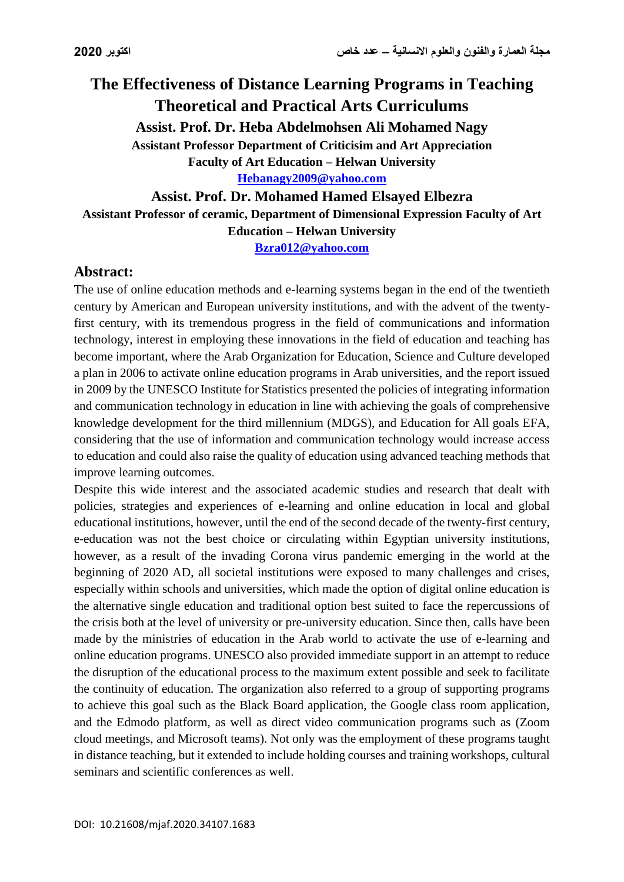# **The Effectiveness of Distance Learning Programs in Teaching Theoretical and Practical Arts Curriculums Assist. Prof. Dr. Heba Abdelmohsen Ali Mohamed Nagy Assistant Professor Department of Criticisim and Art Appreciation Faculty of Art Education – Helwan University [Hebanagy2009@yahoo.com](mailto:Hebanagy2009@yahoo.com)**

**Assist. Prof. Dr. Mohamed Hamed Elsayed Elbezra**

**Assistant Professor of ceramic, Department of Dimensional Expression Faculty of Art Education – Helwan University**

**[Bzra012@yahoo.com](mailto:Bzra012@yahoo.com)**

## **Abstract:**

The use of online education methods and e-learning systems began in the end of the twentieth century by American and European university institutions, and with the advent of the twentyfirst century, with its tremendous progress in the field of communications and information technology, interest in employing these innovations in the field of education and teaching has become important, where the Arab Organization for Education, Science and Culture developed a plan in 2006 to activate online education programs in Arab universities, and the report issued in 2009 by the UNESCO Institute for Statistics presented the policies of integrating information and communication technology in education in line with achieving the goals of comprehensive knowledge development for the third millennium (MDGS), and Education for All goals EFA, considering that the use of information and communication technology would increase access to education and could also raise the quality of education using advanced teaching methods that improve learning outcomes.

Despite this wide interest and the associated academic studies and research that dealt with policies, strategies and experiences of e-learning and online education in local and global educational institutions, however, until the end of the second decade of the twenty-first century, e-education was not the best choice or circulating within Egyptian university institutions, however, as a result of the invading Corona virus pandemic emerging in the world at the beginning of 2020 AD, all societal institutions were exposed to many challenges and crises, especially within schools and universities, which made the option of digital online education is the alternative single education and traditional option best suited to face the repercussions of the crisis both at the level of university or pre-university education. Since then, calls have been made by the ministries of education in the Arab world to activate the use of e-learning and online education programs. UNESCO also provided immediate support in an attempt to reduce the disruption of the educational process to the maximum extent possible and seek to facilitate the continuity of education. The organization also referred to a group of supporting programs to achieve this goal such as the Black Board application, the Google class room application, and the Edmodo platform, as well as direct video communication programs such as (Zoom cloud meetings, and Microsoft teams). Not only was the employment of these programs taught in distance teaching, but it extended to include holding courses and training workshops, cultural seminars and scientific conferences as well.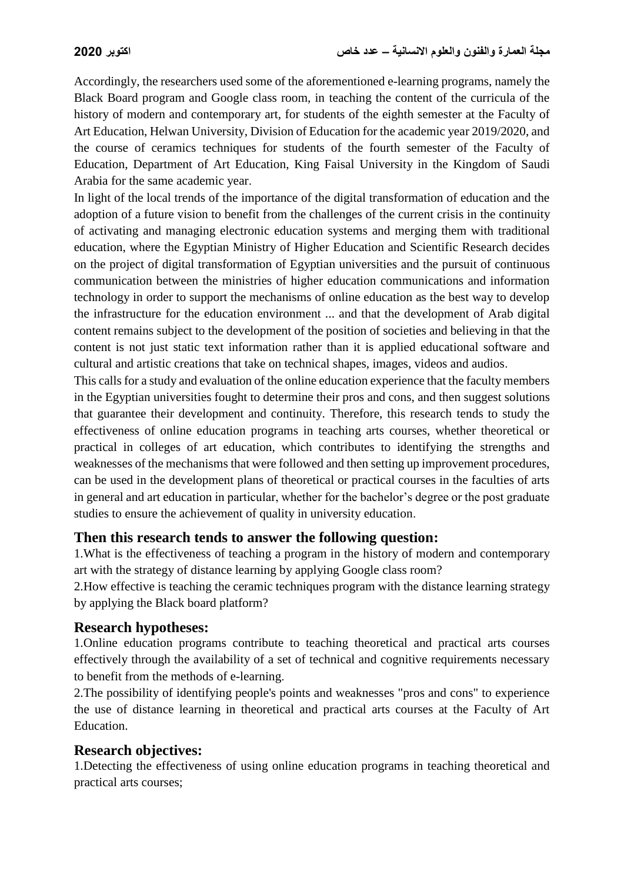Accordingly, the researchers used some of the aforementioned e-learning programs, namely the Black Board program and Google class room, in teaching the content of the curricula of the history of modern and contemporary art, for students of the eighth semester at the Faculty of Art Education, Helwan University, Division of Education for the academic year 2019/2020, and the course of ceramics techniques for students of the fourth semester of the Faculty of Education, Department of Art Education, King Faisal University in the Kingdom of Saudi Arabia for the same academic year.

In light of the local trends of the importance of the digital transformation of education and the adoption of a future vision to benefit from the challenges of the current crisis in the continuity of activating and managing electronic education systems and merging them with traditional education, where the Egyptian Ministry of Higher Education and Scientific Research decides on the project of digital transformation of Egyptian universities and the pursuit of continuous communication between the ministries of higher education communications and information technology in order to support the mechanisms of online education as the best way to develop the infrastructure for the education environment ... and that the development of Arab digital content remains subject to the development of the position of societies and believing in that the content is not just static text information rather than it is applied educational software and cultural and artistic creations that take on technical shapes, images, videos and audios.

This calls for a study and evaluation of the online education experience that the faculty members in the Egyptian universities fought to determine their pros and cons, and then suggest solutions that guarantee their development and continuity. Therefore, this research tends to study the effectiveness of online education programs in teaching arts courses, whether theoretical or practical in colleges of art education, which contributes to identifying the strengths and weaknesses of the mechanisms that were followed and then setting up improvement procedures, can be used in the development plans of theoretical or practical courses in the faculties of arts in general and art education in particular, whether for the bachelor's degree or the post graduate studies to ensure the achievement of quality in university education.

### **Then this research tends to answer the following question:**

1.What is the effectiveness of teaching a program in the history of modern and contemporary art with the strategy of distance learning by applying Google class room?

2.How effective is teaching the ceramic techniques program with the distance learning strategy by applying the Black board platform?

### **Research hypotheses:**

1.Online education programs contribute to teaching theoretical and practical arts courses effectively through the availability of a set of technical and cognitive requirements necessary to benefit from the methods of e-learning.

2.The possibility of identifying people's points and weaknesses "pros and cons" to experience the use of distance learning in theoretical and practical arts courses at the Faculty of Art Education.

### **Research objectives:**

1.Detecting the effectiveness of using online education programs in teaching theoretical and practical arts courses;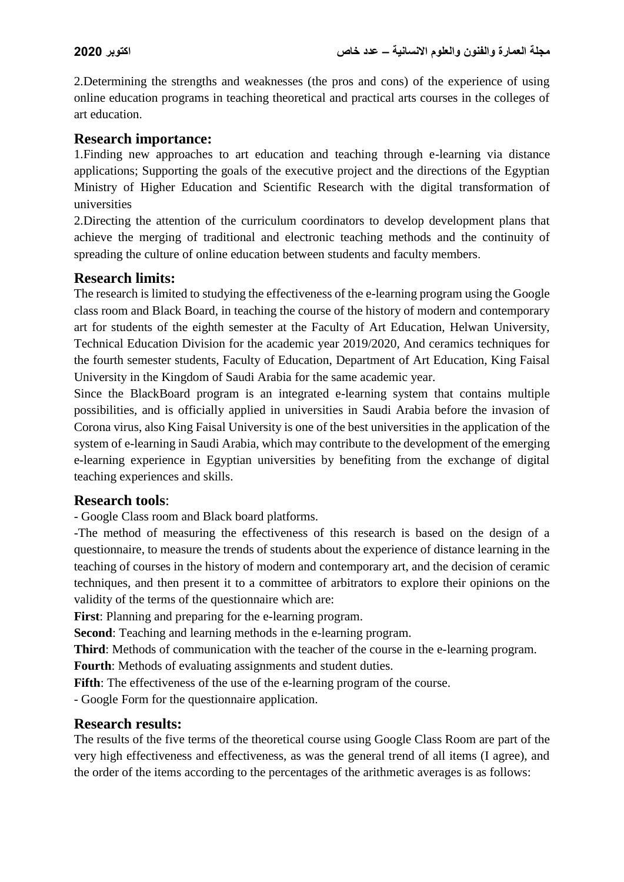2.Determining the strengths and weaknesses (the pros and cons) of the experience of using online education programs in teaching theoretical and practical arts courses in the colleges of art education.

#### **Research importance:**

1.Finding new approaches to art education and teaching through e-learning via distance applications; Supporting the goals of the executive project and the directions of the Egyptian Ministry of Higher Education and Scientific Research with the digital transformation of universities

2.Directing the attention of the curriculum coordinators to develop development plans that achieve the merging of traditional and electronic teaching methods and the continuity of spreading the culture of online education between students and faculty members.

#### **Research limits:**

The research is limited to studying the effectiveness of the e-learning program using the Google class room and Black Board, in teaching the course of the history of modern and contemporary art for students of the eighth semester at the Faculty of Art Education, Helwan University, Technical Education Division for the academic year 2019/2020, And ceramics techniques for the fourth semester students, Faculty of Education, Department of Art Education, King Faisal University in the Kingdom of Saudi Arabia for the same academic year.

Since the BlackBoard program is an integrated e-learning system that contains multiple possibilities, and is officially applied in universities in Saudi Arabia before the invasion of Corona virus, also King Faisal University is one of the best universities in the application of the system of e-learning in Saudi Arabia, which may contribute to the development of the emerging e-learning experience in Egyptian universities by benefiting from the exchange of digital teaching experiences and skills.

#### **Research tools**:

- Google Class room and Black board platforms.

-The method of measuring the effectiveness of this research is based on the design of a questionnaire, to measure the trends of students about the experience of distance learning in the teaching of courses in the history of modern and contemporary art, and the decision of ceramic techniques, and then present it to a committee of arbitrators to explore their opinions on the validity of the terms of the questionnaire which are:

**First**: Planning and preparing for the e-learning program.

**Second**: Teaching and learning methods in the e-learning program.

**Third**: Methods of communication with the teacher of the course in the e-learning program.

**Fourth**: Methods of evaluating assignments and student duties.

**Fifth**: The effectiveness of the use of the e-learning program of the course.

- Google Form for the questionnaire application.

#### **Research results:**

The results of the five terms of the theoretical course using Google Class Room are part of the very high effectiveness and effectiveness, as was the general trend of all items (I agree), and the order of the items according to the percentages of the arithmetic averages is as follows: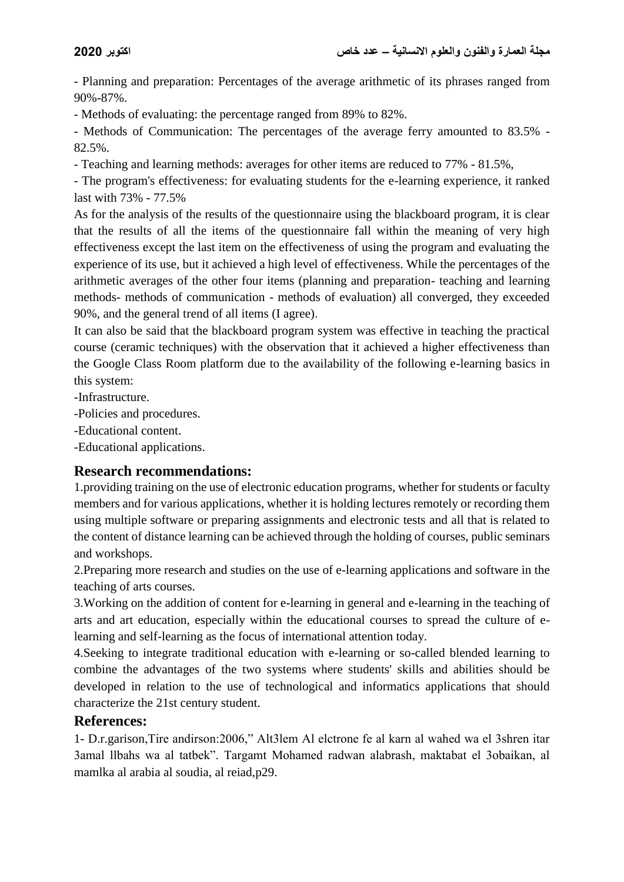- Planning and preparation: Percentages of the average arithmetic of its phrases ranged from 90%-87%.

- Methods of evaluating: the percentage ranged from 89% to 82%.

- Methods of Communication: The percentages of the average ferry amounted to 83.5% - 82.5%.

- Teaching and learning methods: averages for other items are reduced to 77% - 81.5%,

- The program's effectiveness: for evaluating students for the e-learning experience, it ranked last with 73% - 77.5%

As for the analysis of the results of the questionnaire using the blackboard program, it is clear that the results of all the items of the questionnaire fall within the meaning of very high effectiveness except the last item on the effectiveness of using the program and evaluating the experience of its use, but it achieved a high level of effectiveness. While the percentages of the arithmetic averages of the other four items (planning and preparation- teaching and learning methods- methods of communication - methods of evaluation) all converged, they exceeded 90%, and the general trend of all items (I agree).

It can also be said that the blackboard program system was effective in teaching the practical course (ceramic techniques) with the observation that it achieved a higher effectiveness than the Google Class Room platform due to the availability of the following e-learning basics in this system:

-Infrastructure.

-Policies and procedures.

-Educational content.

-Educational applications.

### **Research recommendations:**

1.providing training on the use of electronic education programs, whether for students or faculty members and for various applications, whether it is holding lectures remotely or recording them using multiple software or preparing assignments and electronic tests and all that is related to the content of distance learning can be achieved through the holding of courses, public seminars and workshops.

2.Preparing more research and studies on the use of e-learning applications and software in the teaching of arts courses.

3.Working on the addition of content for e-learning in general and e-learning in the teaching of arts and art education, especially within the educational courses to spread the culture of elearning and self-learning as the focus of international attention today.

4.Seeking to integrate traditional education with e-learning or so-called blended learning to combine the advantages of the two systems where students' skills and abilities should be developed in relation to the use of technological and informatics applications that should characterize the 21st century student.

### **References:**

1- D.r.garison,Tire andirson:2006," Alt3lem Al elctrone fe al karn al wahed wa el 3shren itar 3amal llbahs wa al tatbek". Targamt Mohamed radwan alabrash, maktabat el 3obaikan, al mamlka al arabia al soudia, al reiad,p29.